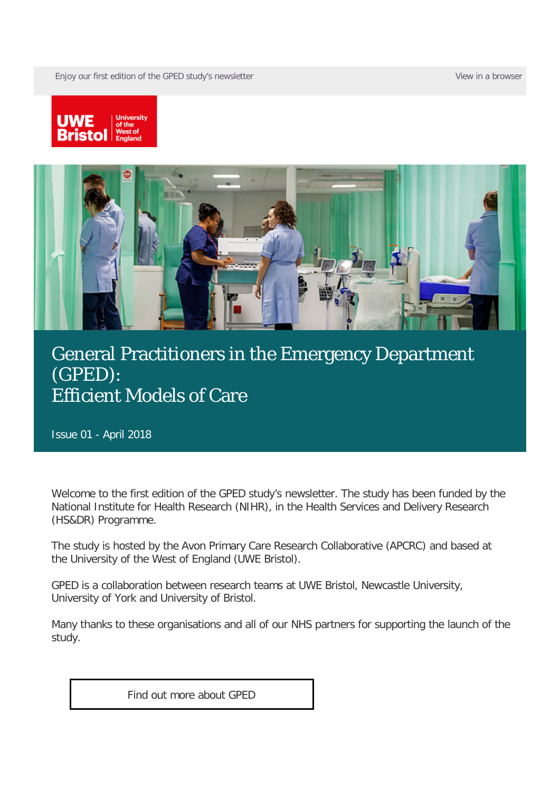Enjoy our first edition of the GPED study's newsletter [View in a browser](https://comms.uwe.ac.uk/t/1HO4-5J62T-43I4ZGT22A/cr.aspx) View in a browser





#### [General Practitioners in the Emergency Department](https://comms.uwe.ac.uk/t/1HO4-5J62T-I4ZGT2-32BF3H-1/c.aspx)  [\(GPED\):](https://comms.uwe.ac.uk/t/1HO4-5J62T-I4ZGT2-32BF3H-1/c.aspx)  [Efficient Models of Care](https://comms.uwe.ac.uk/t/1HO4-5J62T-I4ZGT2-32BF3H-1/c.aspx)

Issue 01 - April 2018

Welcome to the first edition of the GPED study's newsletter. The study has been funded by the National Institute for Health Research (NIHR), in the Health Services and Delivery Research (HS&DR) Programme.

The study is hosted by the Avon Primary Care Research Collaborative (APCRC) and based at the University of the West of England (UWE Bristol).

GPED is a collaboration between research teams at UWE Bristol, Newcastle University, University of York and University of Bristol.

Many thanks to these organisations and all of our NHS partners for supporting the launch of the study.

[Find out more about GPED](https://comms.uwe.ac.uk/t/1HO4-5J62T-I4ZGT2-32BF3I-1/c.aspx)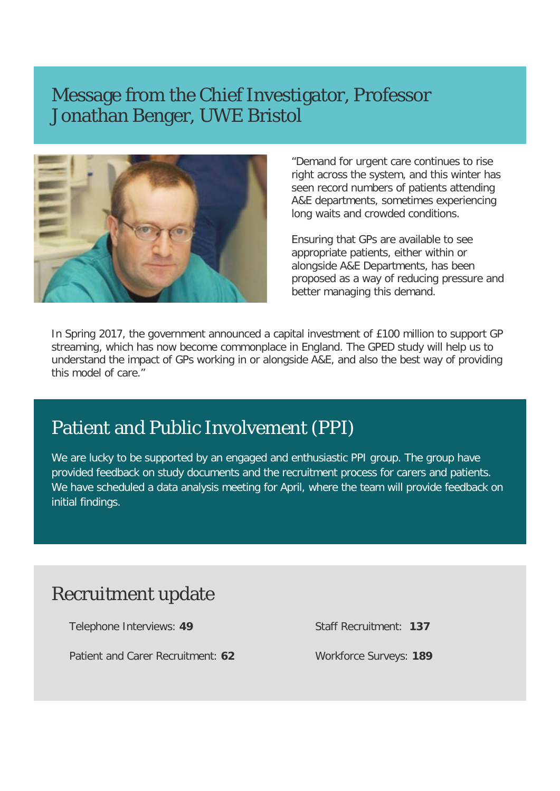#### Message from the Chief Investigator, Professor Jonathan Benger, UWE Bristol



"Demand for urgent care continues to rise right across the system, and this winter has seen record numbers of patients attending A&E departments, sometimes experiencing long waits and crowded conditions.

Ensuring that GPs are available to see appropriate patients, either within or alongside A&E Departments, has been proposed as a way of reducing pressure and better managing this demand.

In Spring 2017, the government announced a capital investment of £100 million to support GP streaming, which has now become commonplace in England. The GPED study will help us to understand the impact of GPs working in or alongside A&E, and also the best way of providing this model of care."

## Patient and Public Involvement (PPI)

We are lucky to be supported by an engaged and enthusiastic PPI group. The group have provided feedback on study documents and the recruitment process for carers and patients. We have scheduled a data analysis meeting for April, where the team will provide feedback on initial findings.

## Recruitment update

Telephone Interviews: **49**

Patient and Carer Recruitment: **62**

Staff Recruitment: **137**

Workforce Surveys: **189**